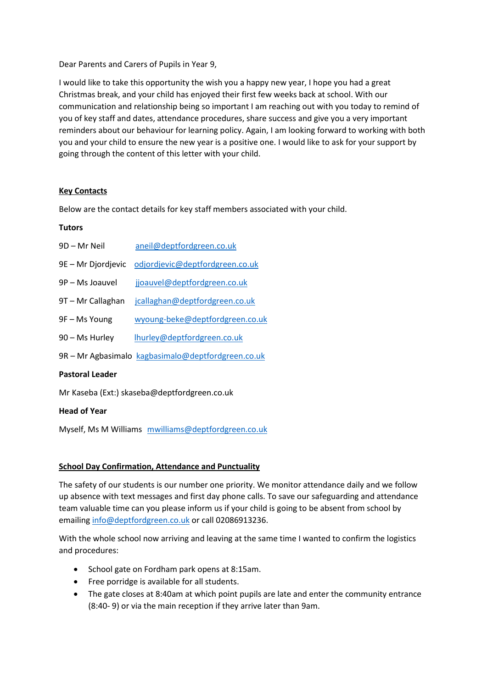Dear Parents and Carers of Pupils in Year 9,

I would like to take this opportunity the wish you a happy new year, I hope you had a great Christmas break, and your child has enjoyed their first few weeks back at school. With our communication and relationship being so important I am reaching out with you today to remind of you of key staff and dates, attendance procedures, share success and give you a very important reminders about our behaviour for learning policy. Again, I am looking forward to working with both you and your child to ensure the new year is a positive one. I would like to ask for your support by going through the content of this letter with your child.

# **Key Contacts**

Below are the contact details for key staff members associated with your child.

### **Tutors**

| <b>Pastoral Leader</b> |                                                    |
|------------------------|----------------------------------------------------|
|                        | 9R – Mr Agbasimalo kagbasimalo@deptfordgreen.co.uk |
| 90 - Ms Hurley         | lhurley@deptfordgreen.co.uk                        |
| 9F – Ms Young          | wyoung-beke@deptfordgreen.co.uk                    |
| 9T - Mr Callaghan      | jcallaghan@deptfordgreen.co.uk                     |
| 9P – Ms Joauvel        | jjoauvel@deptfordgreen.co.uk                       |
| 9E – Mr Djordjevic     | odjordjevic@deptfordgreen.co.uk                    |
| 9D – Mr Neil           | aneil@deptfordgreen.co.uk                          |

Mr Kaseba (Ext:) skaseba@deptfordgreen.co.uk

### **Head of Year**

Myself, Ms M Williams [mwilliams@deptfordgreen.co.uk](mailto:mwilliams@deptfordgreen.co.uk)

### **School Day Confirmation, Attendance and Punctuality**

The safety of our students is our number one priority. We monitor attendance daily and we follow up absence with text messages and first day phone calls. To save our safeguarding and attendance team valuable time can you please inform us if your child is going to be absent from school by emailin[g info@deptfordgreen.co.uk](mailto:info@deptfordgreen.co.uk) or call 02086913236.

With the whole school now arriving and leaving at the same time I wanted to confirm the logistics and procedures:

- School gate on Fordham park opens at 8:15am.
- Free porridge is available for all students.
- The gate closes at 8:40am at which point pupils are late and enter the community entrance (8:40- 9) or via the main reception if they arrive later than 9am.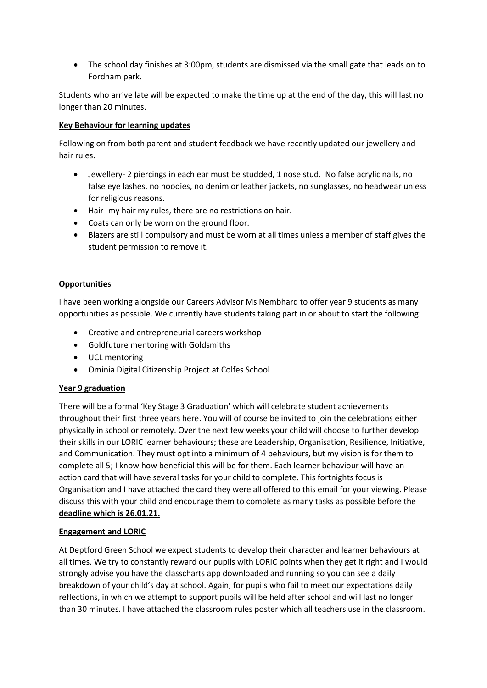• The school day finishes at 3:00pm, students are dismissed via the small gate that leads on to Fordham park.

Students who arrive late will be expected to make the time up at the end of the day, this will last no longer than 20 minutes.

# **Key Behaviour for learning updates**

Following on from both parent and student feedback we have recently updated our jewellery and hair rules.

- Jewellery- 2 piercings in each ear must be studded, 1 nose stud. No false acrylic nails, no false eye lashes, no hoodies, no denim or leather jackets, no sunglasses, no headwear unless for religious reasons.
- Hair- my hair my rules, there are no restrictions on hair.
- Coats can only be worn on the ground floor.
- Blazers are still compulsory and must be worn at all times unless a member of staff gives the student permission to remove it.

# **Opportunities**

I have been working alongside our Careers Advisor Ms Nembhard to offer year 9 students as many opportunities as possible. We currently have students taking part in or about to start the following:

- Creative and entrepreneurial careers workshop
- Goldfuture mentoring with Goldsmiths
- UCL mentoring
- Ominia Digital Citizenship Project at Colfes School

# **Year 9 graduation**

There will be a formal 'Key Stage 3 Graduation' which will celebrate student achievements throughout their first three years here. You will of course be invited to join the celebrations either physically in school or remotely. Over the next few weeks your child will choose to further develop their skills in our LORIC learner behaviours; these are Leadership, Organisation, Resilience, Initiative, and Communication. They must opt into a minimum of 4 behaviours, but my vision is for them to complete all 5; I know how beneficial this will be for them. Each learner behaviour will have an action card that will have several tasks for your child to complete. This fortnights focus is Organisation and I have attached the card they were all offered to this email for your viewing. Please discuss this with your child and encourage them to complete as many tasks as possible before the **deadline which is 26.01.21.**

# **Engagement and LORIC**

At Deptford Green School we expect students to develop their character and learner behaviours at all times. We try to constantly reward our pupils with LORIC points when they get it right and I would strongly advise you have the classcharts app downloaded and running so you can see a daily breakdown of your child's day at school. Again, for pupils who fail to meet our expectations daily reflections, in which we attempt to support pupils will be held after school and will last no longer than 30 minutes. I have attached the classroom rules poster which all teachers use in the classroom.